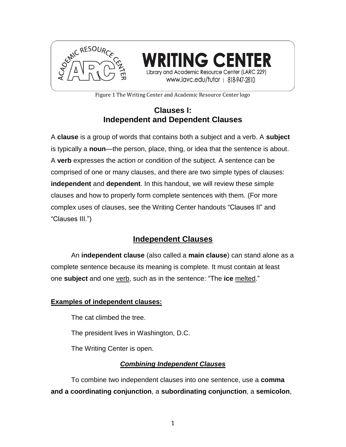

**TING CENTER** Library and Academic Resource Center (LARC 229) www.lavc.edu/tutor | 818-947-2810

Figure 1 The Writing Center and Academic Resource Center logo

# **Clauses I: Independent and Dependent Clauses**

A **clause** is a group of words that contains both a subject and a verb. A **subject** is typically a **noun**—the person, place, thing, or idea that the sentence is about. A **verb** expresses the action or condition of the subject. A sentence can be comprised of one or many clauses, and there are two simple types of clauses: **independent** and **dependent**. In this handout, we will review these simple clauses and how to properly form complete sentences with them. (For more complex uses of clauses, see the Writing Center handouts "Clauses II" and "Clauses III.")

# **Independent Clauses**

An **independent clause** (also called a **main clause**) can stand alone as a complete sentence because its meaning is complete. It must contain at least one **subject** and one verb, such as in the sentence: "The **ice** melted."

### **Examples of independent clauses:**

The cat climbed the tree.

The president lives in Washington, D.C.

The Writing Center is open.

### *Combining Independent Clauses*

To combine two independent clauses into one sentence, use a **comma and a coordinating conjunction**, a **subordinating conjunction**, a **semicolon**,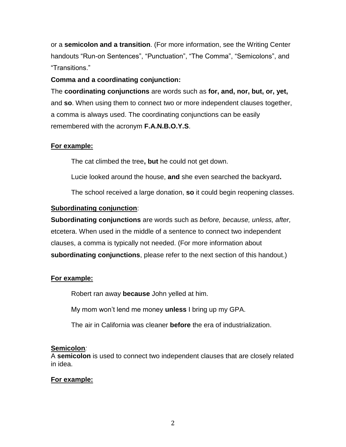or a **semicolon and a transition**. (For more information, see the Writing Center handouts "Run-on Sentences", "Punctuation", "The Comma", "Semicolons", and "Transitions."

#### **Comma and a coordinating conjunction:**

The **coordinating conjunctions** are words such as **for, and, nor, but, or, yet,**  and **so**. When using them to connect two or more independent clauses together, a comma is always used. The coordinating conjunctions can be easily remembered with the acronym **F.A.N.B.O.Y.S**.

### **For example:**

The cat climbed the tree**, but** he could not get down.

Lucie looked around the house, **and** she even searched the backyard**.** 

The school received a large donation, **so** it could begin reopening classes.

### **Subordinating conjunction**:

**Subordinating conjunctions** are words such as *before, because, unless, after,* etcetera. When used in the middle of a sentence to connect two independent clauses, a comma is typically not needed. (For more information about **subordinating conjunctions**, please refer to the next section of this handout.)

### **For example:**

Robert ran away **because** John yelled at him.

My mom won't lend me money **unless** I bring up my GPA.

The air in California was cleaner **before** the era of industrialization.

### **Semicolon***:*

A **semicolon** is used to connect two independent clauses that are closely related in idea.

### **For example:**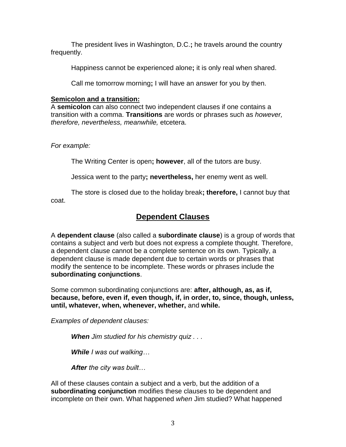The president lives in Washington, D.C.**;** he travels around the country frequently.

Happiness cannot be experienced alone**;** it is only real when shared.

Call me tomorrow morning**;** I will have an answer for you by then.

#### **Semicolon and a transition:**

A **semicolon** can also connect two independent clauses if one contains a transition with a comma. **Transitions** are words or phrases such as *however, therefore, nevertheless, meanwhile,* etcetera.

#### *For example:*

The Writing Center is open**; however**, all of the tutors are busy.

Jessica went to the party**; nevertheless,** her enemy went as well.

The store is closed due to the holiday break**; therefore,** I cannot buy that coat.

## **Dependent Clauses**

A **dependent clause** (also called a **subordinate clause**) is a group of words that contains a subject and verb but does not express a complete thought. Therefore, a dependent clause cannot be a complete sentence on its own. Typically, a dependent clause is made dependent due to certain words or phrases that modify the sentence to be incomplete. These words or phrases include the **subordinating conjunctions**.

Some common subordinating conjunctions are: **after, although, as, as if, because, before, even if, even though, if, in order, to, since, though, unless, until, whatever, when, whenever, whether,** and **while.**

*Examples of dependent clauses:*

*When Jim studied for his chemistry quiz . . .*

*While I was out walking…*

*After the city was built…*

All of these clauses contain a subject and a verb, but the addition of a **subordinating conjunction** modifies these clauses to be dependent and incomplete on their own. What happened *when* Jim studied? What happened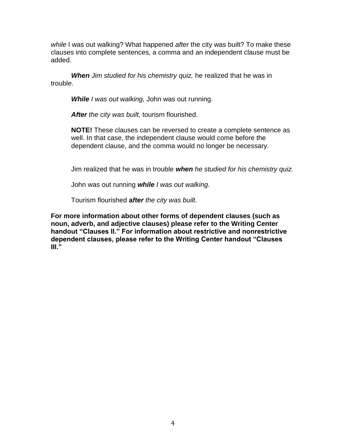*while* I was out walking? What happened *after* the city was built? To make these clauses into complete sentences, a comma and an independent clause must be added.

*When Jim studied for his chemistry quiz,* he realized that he was in trouble.

*While I was out walking,* John was out running.

*After the city was built,* tourism flourished.

**NOTE!** These clauses can be reversed to create a complete sentence as well. In that case, the independent clause would come before the dependent clause, and the comma would no longer be necessary.

Jim realized that he was in trouble *when he studied for his chemistry quiz.*

John was out running *while I was out walking.*

Tourism flourished **a***fter the city was built.*

**For more information about other forms of dependent clauses (such as noun, adverb, and adjective clauses) please refer to the Writing Center handout "Clauses II." For information about restrictive and nonrestrictive dependent clauses, please refer to the Writing Center handout "Clauses III."**